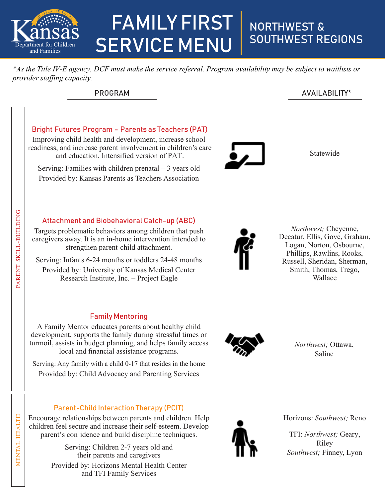

# FAMILY FIRST SERVICE MENU NORTHWEST & SOUTHWEST REGIONS

*\*As the Title IV-E agency, DCF must make the service referral. Program availability may be subject to waitlists or provider staffing capacity.*

# PROGRAM AVAILABILITY\*

#### Statewide *Northwest;* Cheyenne, Decatur, Ellis, Gove, Graham, Logan, Norton, Osbourne, Phillips, Rawlins, Rooks, Russell, Sheridan, Sherman, Smith, Thomas, Trego, Wallace *Northwest;* Ottawa, Bright Futures Program - Parents as Teachers (PAT) Improving child health and development, increase school readiness, and increase parent involvement in children's care and education. Intensified version of PAT. Serving: Families with children prenatal – 3 years old Provided by: Kansas Parents as Teachers Association Attachment and Biobehavioral Catch-up (ABC) Targets problematic behaviors among children that push caregivers away. It is an in-home intervention intended to strengthen parent-child attachment. Serving: Infants 6-24 months or toddlers 24-48 months Provided by: University of Kansas Medical Center Research Institute, Inc. – Project Eagle Family Mentoring A Family Mentor educates parents about healthy child development, supports the family during stressful times or turmoil, assists in budget planning, and helps family access local and financial assistance programs. Parent Skill-building  $\circ$  $\mathbb{Z}$  is a set of  $\mathbb{Z}$

Serving: Any family with a child 0-17 that resides in the home Provided by: Child Advocacy and Parenting Services

# Parent-Child Interaction Therapy (PCIT)

Encourage relationships between parents and children. Help children feel secure and increase their self-esteem. Develop parent's con idence and build discipline techniques.

> Serving: Children 2-7 years old and their parents and caregivers Provided by: Horizons Mental Health Center and TFI Family Services



Horizons: *Southwest;* Reno

Saline

TFI: *Northwest;* Geary, Riley *Southwest;* Finney, Lyon



Mental H

**EALTH** 

Health